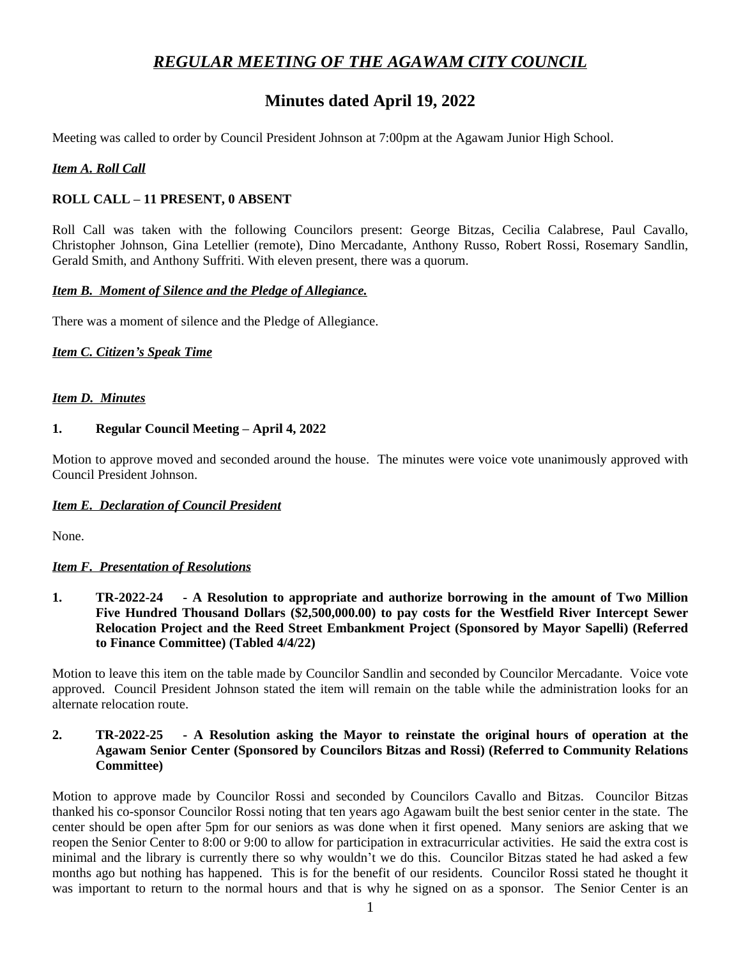# *REGULAR MEETING OF THE AGAWAM CITY COUNCIL*

# **Minutes dated April 19, 2022**

Meeting was called to order by Council President Johnson at 7:00pm at the Agawam Junior High School.

## *Item A. Roll Call*

## **ROLL CALL – 11 PRESENT, 0 ABSENT**

Roll Call was taken with the following Councilors present: George Bitzas, Cecilia Calabrese, Paul Cavallo, Christopher Johnson, Gina Letellier (remote), Dino Mercadante, Anthony Russo, Robert Rossi, Rosemary Sandlin, Gerald Smith, and Anthony Suffriti. With eleven present, there was a quorum.

#### *Item B. Moment of Silence and the Pledge of Allegiance.*

There was a moment of silence and the Pledge of Allegiance.

## *Item C. Citizen's Speak Time*

#### *Item D. Minutes*

#### **1. Regular Council Meeting – April 4, 2022**

Motion to approve moved and seconded around the house. The minutes were voice vote unanimously approved with Council President Johnson.

#### *Item E. Declaration of Council President*

None.

## *Item F. Presentation of Resolutions*

**1. TR-2022-24 - A Resolution to appropriate and authorize borrowing in the amount of Two Million Five Hundred Thousand Dollars (\$2,500,000.00) to pay costs for the Westfield River Intercept Sewer Relocation Project and the Reed Street Embankment Project (Sponsored by Mayor Sapelli) (Referred to Finance Committee) (Tabled 4/4/22)**

Motion to leave this item on the table made by Councilor Sandlin and seconded by Councilor Mercadante. Voice vote approved. Council President Johnson stated the item will remain on the table while the administration looks for an alternate relocation route.

## **2. TR-2022-25 - A Resolution asking the Mayor to reinstate the original hours of operation at the Agawam Senior Center (Sponsored by Councilors Bitzas and Rossi) (Referred to Community Relations Committee)**

Motion to approve made by Councilor Rossi and seconded by Councilors Cavallo and Bitzas. Councilor Bitzas thanked his co-sponsor Councilor Rossi noting that ten years ago Agawam built the best senior center in the state. The center should be open after 5pm for our seniors as was done when it first opened. Many seniors are asking that we reopen the Senior Center to 8:00 or 9:00 to allow for participation in extracurricular activities. He said the extra cost is minimal and the library is currently there so why wouldn't we do this. Councilor Bitzas stated he had asked a few months ago but nothing has happened. This is for the benefit of our residents. Councilor Rossi stated he thought it was important to return to the normal hours and that is why he signed on as a sponsor. The Senior Center is an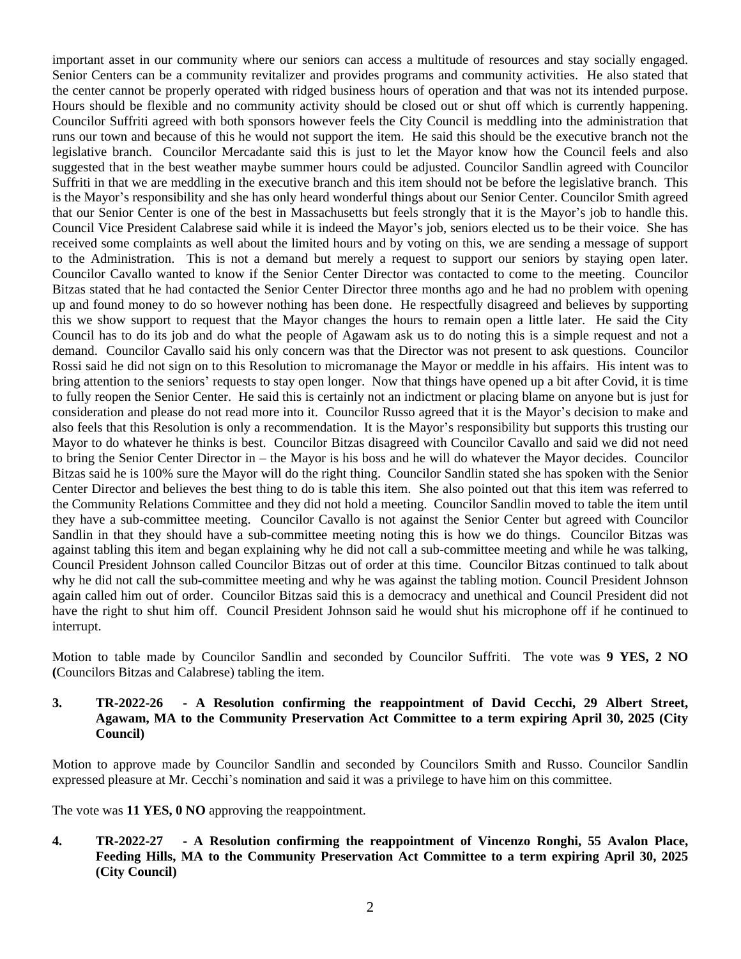important asset in our community where our seniors can access a multitude of resources and stay socially engaged. Senior Centers can be a community revitalizer and provides programs and community activities. He also stated that the center cannot be properly operated with ridged business hours of operation and that was not its intended purpose. Hours should be flexible and no community activity should be closed out or shut off which is currently happening. Councilor Suffriti agreed with both sponsors however feels the City Council is meddling into the administration that runs our town and because of this he would not support the item. He said this should be the executive branch not the legislative branch. Councilor Mercadante said this is just to let the Mayor know how the Council feels and also suggested that in the best weather maybe summer hours could be adjusted. Councilor Sandlin agreed with Councilor Suffriti in that we are meddling in the executive branch and this item should not be before the legislative branch. This is the Mayor's responsibility and she has only heard wonderful things about our Senior Center. Councilor Smith agreed that our Senior Center is one of the best in Massachusetts but feels strongly that it is the Mayor's job to handle this. Council Vice President Calabrese said while it is indeed the Mayor's job, seniors elected us to be their voice. She has received some complaints as well about the limited hours and by voting on this, we are sending a message of support to the Administration. This is not a demand but merely a request to support our seniors by staying open later. Councilor Cavallo wanted to know if the Senior Center Director was contacted to come to the meeting. Councilor Bitzas stated that he had contacted the Senior Center Director three months ago and he had no problem with opening up and found money to do so however nothing has been done. He respectfully disagreed and believes by supporting this we show support to request that the Mayor changes the hours to remain open a little later. He said the City Council has to do its job and do what the people of Agawam ask us to do noting this is a simple request and not a demand. Councilor Cavallo said his only concern was that the Director was not present to ask questions. Councilor Rossi said he did not sign on to this Resolution to micromanage the Mayor or meddle in his affairs. His intent was to bring attention to the seniors' requests to stay open longer. Now that things have opened up a bit after Covid, it is time to fully reopen the Senior Center. He said this is certainly not an indictment or placing blame on anyone but is just for consideration and please do not read more into it. Councilor Russo agreed that it is the Mayor's decision to make and also feels that this Resolution is only a recommendation. It is the Mayor's responsibility but supports this trusting our Mayor to do whatever he thinks is best. Councilor Bitzas disagreed with Councilor Cavallo and said we did not need to bring the Senior Center Director in – the Mayor is his boss and he will do whatever the Mayor decides. Councilor Bitzas said he is 100% sure the Mayor will do the right thing. Councilor Sandlin stated she has spoken with the Senior Center Director and believes the best thing to do is table this item. She also pointed out that this item was referred to the Community Relations Committee and they did not hold a meeting. Councilor Sandlin moved to table the item until they have a sub-committee meeting. Councilor Cavallo is not against the Senior Center but agreed with Councilor Sandlin in that they should have a sub-committee meeting noting this is how we do things. Councilor Bitzas was against tabling this item and began explaining why he did not call a sub-committee meeting and while he was talking, Council President Johnson called Councilor Bitzas out of order at this time. Councilor Bitzas continued to talk about why he did not call the sub-committee meeting and why he was against the tabling motion. Council President Johnson again called him out of order. Councilor Bitzas said this is a democracy and unethical and Council President did not have the right to shut him off. Council President Johnson said he would shut his microphone off if he continued to interrupt.

Motion to table made by Councilor Sandlin and seconded by Councilor Suffriti. The vote was **9 YES, 2 NO (**Councilors Bitzas and Calabrese) tabling the item.

## **3. TR-2022-26 - A Resolution confirming the reappointment of David Cecchi, 29 Albert Street, Agawam, MA to the Community Preservation Act Committee to a term expiring April 30, 2025 (City Council)**

Motion to approve made by Councilor Sandlin and seconded by Councilors Smith and Russo. Councilor Sandlin expressed pleasure at Mr. Cecchi's nomination and said it was a privilege to have him on this committee.

The vote was **11 YES, 0 NO** approving the reappointment.

**4. TR-2022-27 - A Resolution confirming the reappointment of Vincenzo Ronghi, 55 Avalon Place, Feeding Hills, MA to the Community Preservation Act Committee to a term expiring April 30, 2025 (City Council)**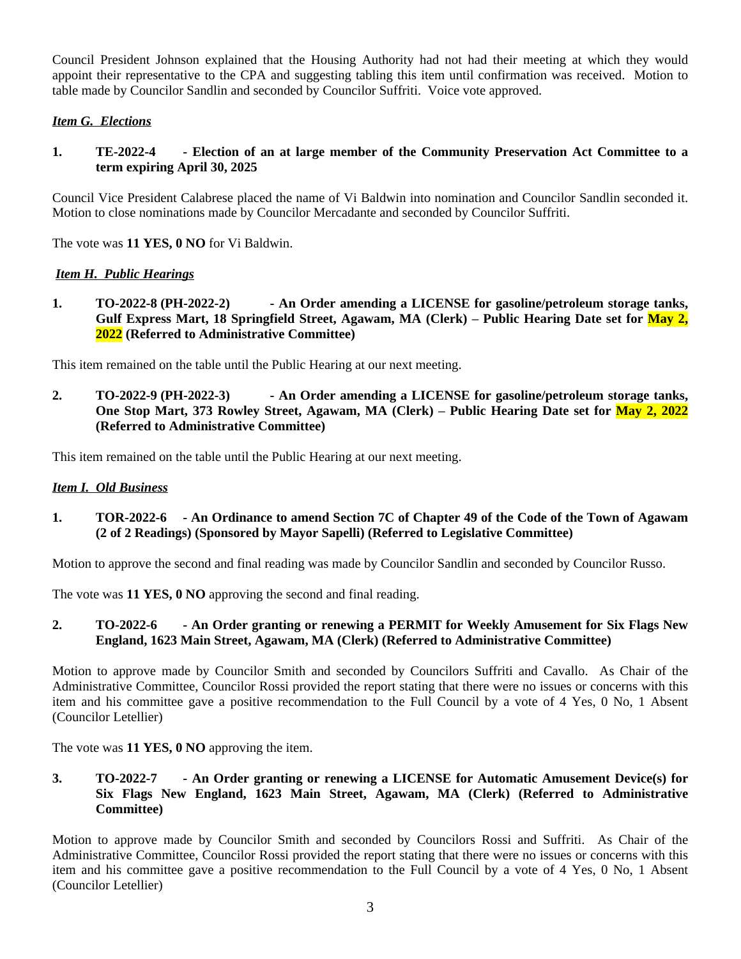Council President Johnson explained that the Housing Authority had not had their meeting at which they would appoint their representative to the CPA and suggesting tabling this item until confirmation was received. Motion to table made by Councilor Sandlin and seconded by Councilor Suffriti. Voice vote approved.

# *Item G. Elections*

**1. TE-2022-4 - Election of an at large member of the Community Preservation Act Committee to a term expiring April 30, 2025**

Council Vice President Calabrese placed the name of Vi Baldwin into nomination and Councilor Sandlin seconded it. Motion to close nominations made by Councilor Mercadante and seconded by Councilor Suffriti.

The vote was **11 YES, 0 NO** for Vi Baldwin.

# *Item H. Public Hearings*

**1. TO-2022-8 (PH-2022-2) - An Order amending a LICENSE for gasoline/petroleum storage tanks, Gulf Express Mart, 18 Springfield Street, Agawam, MA (Clerk) – Public Hearing Date set for May 2, 2022 (Referred to Administrative Committee)**

This item remained on the table until the Public Hearing at our next meeting.

**2. TO-2022-9 (PH-2022-3) - An Order amending a LICENSE for gasoline/petroleum storage tanks, One Stop Mart, 373 Rowley Street, Agawam, MA (Clerk) – Public Hearing Date set for May 2, 2022 (Referred to Administrative Committee)**

This item remained on the table until the Public Hearing at our next meeting.

## *Item I. Old Business*

# 1. TOR-2022-6 - An Ordinance to amend Section 7C of Chapter 49 of the Code of the Town of Agawam **(2 of 2 Readings) (Sponsored by Mayor Sapelli) (Referred to Legislative Committee)**

Motion to approve the second and final reading was made by Councilor Sandlin and seconded by Councilor Russo.

The vote was **11 YES, 0 NO** approving the second and final reading.

# **2. TO-2022-6 - An Order granting or renewing a PERMIT for Weekly Amusement for Six Flags New England, 1623 Main Street, Agawam, MA (Clerk) (Referred to Administrative Committee)**

Motion to approve made by Councilor Smith and seconded by Councilors Suffriti and Cavallo. As Chair of the Administrative Committee, Councilor Rossi provided the report stating that there were no issues or concerns with this item and his committee gave a positive recommendation to the Full Council by a vote of 4 Yes, 0 No, 1 Absent (Councilor Letellier)

The vote was **11 YES, 0 NO** approving the item.

**3. TO-2022-7 - An Order granting or renewing a LICENSE for Automatic Amusement Device(s) for Six Flags New England, 1623 Main Street, Agawam, MA (Clerk) (Referred to Administrative Committee)**

Motion to approve made by Councilor Smith and seconded by Councilors Rossi and Suffriti. As Chair of the Administrative Committee, Councilor Rossi provided the report stating that there were no issues or concerns with this item and his committee gave a positive recommendation to the Full Council by a vote of 4 Yes, 0 No, 1 Absent (Councilor Letellier)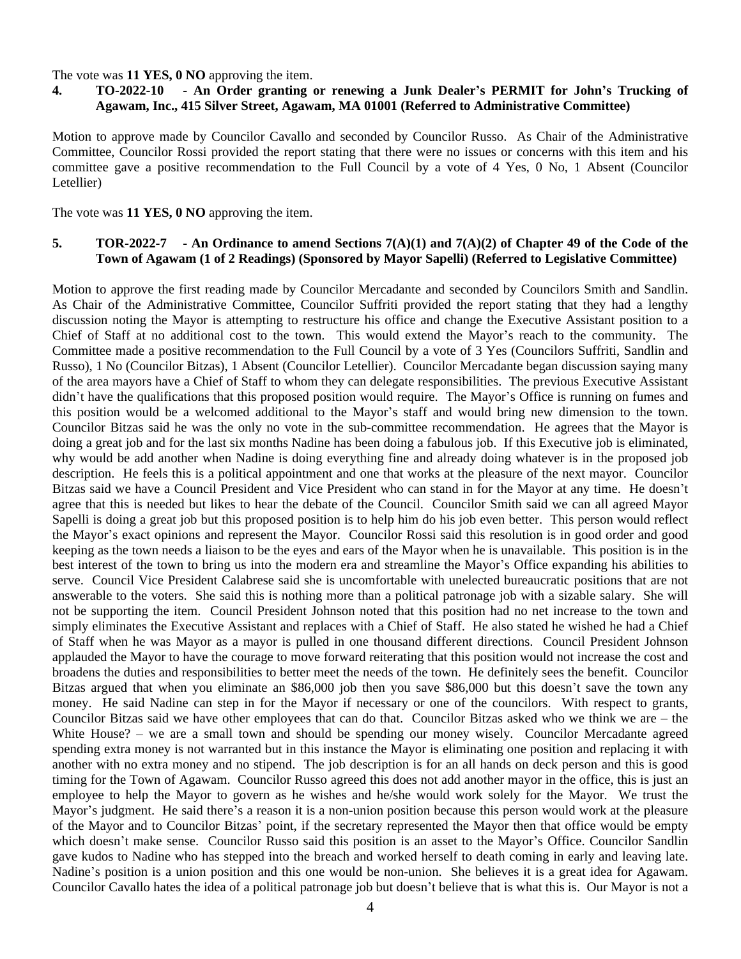#### The vote was **11 YES, 0 NO** approving the item.

# 4. TO-2022-10 - An Order granting or renewing a Junk Dealer's PERMIT for John's Trucking of **Agawam, Inc., 415 Silver Street, Agawam, MA 01001 (Referred to Administrative Committee)**

Motion to approve made by Councilor Cavallo and seconded by Councilor Russo. As Chair of the Administrative Committee, Councilor Rossi provided the report stating that there were no issues or concerns with this item and his committee gave a positive recommendation to the Full Council by a vote of 4 Yes, 0 No, 1 Absent (Councilor Letellier)

The vote was **11 YES, 0 NO** approving the item.

#### 5. TOR-2022-7 - An Ordinance to amend Sections  $7(A)(1)$  and  $7(A)(2)$  of Chapter 49 of the Code of the **Town of Agawam (1 of 2 Readings) (Sponsored by Mayor Sapelli) (Referred to Legislative Committee)**

Motion to approve the first reading made by Councilor Mercadante and seconded by Councilors Smith and Sandlin. As Chair of the Administrative Committee, Councilor Suffriti provided the report stating that they had a lengthy discussion noting the Mayor is attempting to restructure his office and change the Executive Assistant position to a Chief of Staff at no additional cost to the town. This would extend the Mayor's reach to the community. The Committee made a positive recommendation to the Full Council by a vote of 3 Yes (Councilors Suffriti, Sandlin and Russo), 1 No (Councilor Bitzas), 1 Absent (Councilor Letellier). Councilor Mercadante began discussion saying many of the area mayors have a Chief of Staff to whom they can delegate responsibilities. The previous Executive Assistant didn't have the qualifications that this proposed position would require. The Mayor's Office is running on fumes and this position would be a welcomed additional to the Mayor's staff and would bring new dimension to the town. Councilor Bitzas said he was the only no vote in the sub-committee recommendation. He agrees that the Mayor is doing a great job and for the last six months Nadine has been doing a fabulous job. If this Executive job is eliminated, why would be add another when Nadine is doing everything fine and already doing whatever is in the proposed job description. He feels this is a political appointment and one that works at the pleasure of the next mayor. Councilor Bitzas said we have a Council President and Vice President who can stand in for the Mayor at any time. He doesn't agree that this is needed but likes to hear the debate of the Council. Councilor Smith said we can all agreed Mayor Sapelli is doing a great job but this proposed position is to help him do his job even better. This person would reflect the Mayor's exact opinions and represent the Mayor. Councilor Rossi said this resolution is in good order and good keeping as the town needs a liaison to be the eyes and ears of the Mayor when he is unavailable. This position is in the best interest of the town to bring us into the modern era and streamline the Mayor's Office expanding his abilities to serve. Council Vice President Calabrese said she is uncomfortable with unelected bureaucratic positions that are not answerable to the voters. She said this is nothing more than a political patronage job with a sizable salary. She will not be supporting the item. Council President Johnson noted that this position had no net increase to the town and simply eliminates the Executive Assistant and replaces with a Chief of Staff. He also stated he wished he had a Chief of Staff when he was Mayor as a mayor is pulled in one thousand different directions. Council President Johnson applauded the Mayor to have the courage to move forward reiterating that this position would not increase the cost and broadens the duties and responsibilities to better meet the needs of the town. He definitely sees the benefit. Councilor Bitzas argued that when you eliminate an \$86,000 job then you save \$86,000 but this doesn't save the town any money. He said Nadine can step in for the Mayor if necessary or one of the councilors. With respect to grants, Councilor Bitzas said we have other employees that can do that. Councilor Bitzas asked who we think we are – the White House? – we are a small town and should be spending our money wisely. Councilor Mercadante agreed spending extra money is not warranted but in this instance the Mayor is eliminating one position and replacing it with another with no extra money and no stipend. The job description is for an all hands on deck person and this is good timing for the Town of Agawam. Councilor Russo agreed this does not add another mayor in the office, this is just an employee to help the Mayor to govern as he wishes and he/she would work solely for the Mayor. We trust the Mayor's judgment. He said there's a reason it is a non-union position because this person would work at the pleasure of the Mayor and to Councilor Bitzas' point, if the secretary represented the Mayor then that office would be empty which doesn't make sense. Councilor Russo said this position is an asset to the Mayor's Office. Councilor Sandlin gave kudos to Nadine who has stepped into the breach and worked herself to death coming in early and leaving late. Nadine's position is a union position and this one would be non-union. She believes it is a great idea for Agawam. Councilor Cavallo hates the idea of a political patronage job but doesn't believe that is what this is. Our Mayor is not a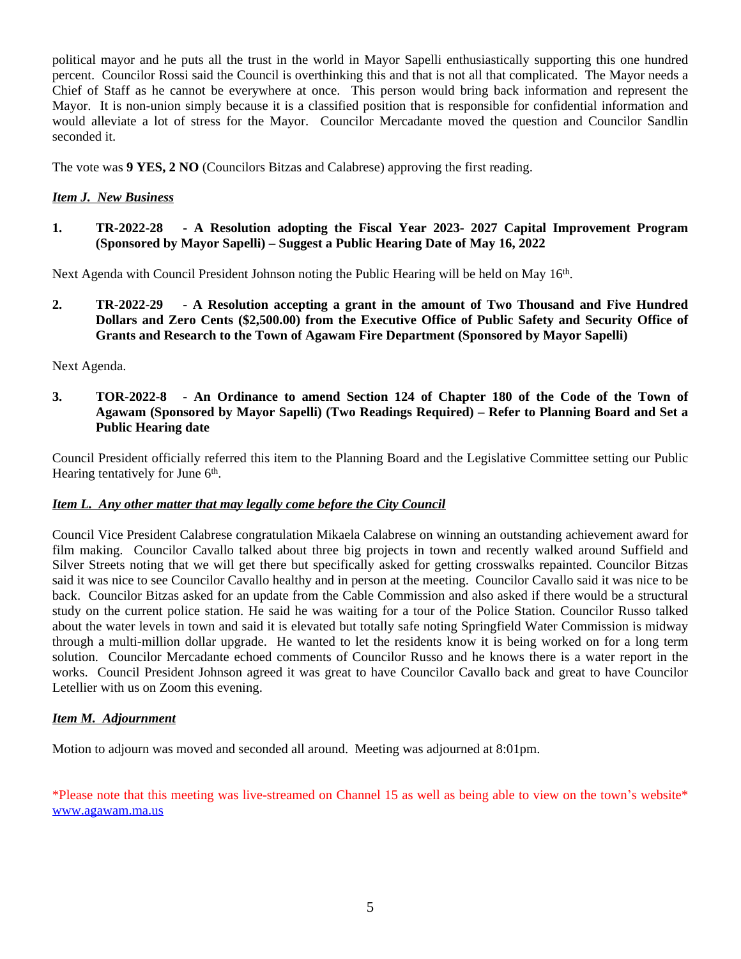political mayor and he puts all the trust in the world in Mayor Sapelli enthusiastically supporting this one hundred percent. Councilor Rossi said the Council is overthinking this and that is not all that complicated. The Mayor needs a Chief of Staff as he cannot be everywhere at once. This person would bring back information and represent the Mayor. It is non-union simply because it is a classified position that is responsible for confidential information and would alleviate a lot of stress for the Mayor. Councilor Mercadante moved the question and Councilor Sandlin seconded it.

The vote was **9 YES, 2 NO** (Councilors Bitzas and Calabrese) approving the first reading.

# *Item J. New Business*

**1. TR-2022-28 - A Resolution adopting the Fiscal Year 2023- 2027 Capital Improvement Program (Sponsored by Mayor Sapelli) – Suggest a Public Hearing Date of May 16, 2022**

Next Agenda with Council President Johnson noting the Public Hearing will be held on May 16<sup>th</sup>.

**2. TR-2022-29 - A Resolution accepting a grant in the amount of Two Thousand and Five Hundred Dollars and Zero Cents (\$2,500.00) from the Executive Office of Public Safety and Security Office of Grants and Research to the Town of Agawam Fire Department (Sponsored by Mayor Sapelli)**

## Next Agenda.

**3. TOR-2022-8 - An Ordinance to amend Section 124 of Chapter 180 of the Code of the Town of Agawam (Sponsored by Mayor Sapelli) (Two Readings Required) – Refer to Planning Board and Set a Public Hearing date** 

Council President officially referred this item to the Planning Board and the Legislative Committee setting our Public Hearing tentatively for June 6<sup>th</sup>.

## *Item L. Any other matter that may legally come before the City Council*

Council Vice President Calabrese congratulation Mikaela Calabrese on winning an outstanding achievement award for film making. Councilor Cavallo talked about three big projects in town and recently walked around Suffield and Silver Streets noting that we will get there but specifically asked for getting crosswalks repainted. Councilor Bitzas said it was nice to see Councilor Cavallo healthy and in person at the meeting. Councilor Cavallo said it was nice to be back. Councilor Bitzas asked for an update from the Cable Commission and also asked if there would be a structural study on the current police station. He said he was waiting for a tour of the Police Station. Councilor Russo talked about the water levels in town and said it is elevated but totally safe noting Springfield Water Commission is midway through a multi-million dollar upgrade. He wanted to let the residents know it is being worked on for a long term solution. Councilor Mercadante echoed comments of Councilor Russo and he knows there is a water report in the works. Council President Johnson agreed it was great to have Councilor Cavallo back and great to have Councilor Letellier with us on Zoom this evening.

## *Item M. Adjournment*

Motion to adjourn was moved and seconded all around. Meeting was adjourned at 8:01pm.

\*Please note that this meeting was live-streamed on Channel 15 as well as being able to view on the town's website\* [www.agawam.ma.us](http://www.agawam.ma.us)